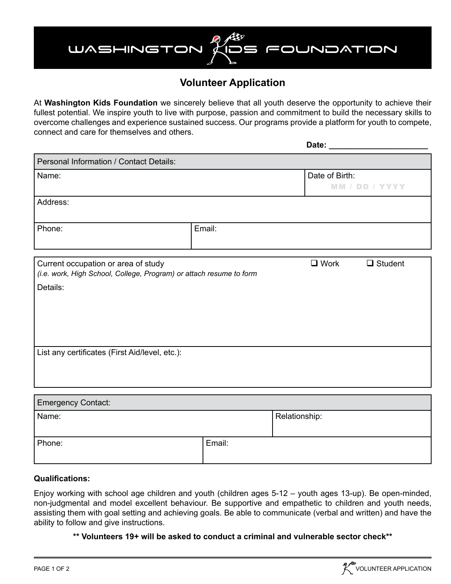# FOUNDATION WASHINGTON

### **Volunteer Application**

At **Washington Kids Foundation** we sincerely believe that all youth deserve the opportunity to achieve their fullest potential. We inspire youth to live with purpose, passion and commitment to build the necessary skills to overcome challenges and experience sustained success. Our programs provide a platform for youth to compete, connect and care for themselves and others.

|                                                                                                            |        | Date: $\rule{1em}{0.15mm}$       |                |
|------------------------------------------------------------------------------------------------------------|--------|----------------------------------|----------------|
| Personal Information / Contact Details:                                                                    |        |                                  |                |
| Name:                                                                                                      |        | Date of Birth:<br>MM / DD / YYYY |                |
| Address:                                                                                                   |        |                                  |                |
| Phone:                                                                                                     | Email: |                                  |                |
| Current occupation or area of study<br>(i.e. work, High School, College, Program) or attach resume to form |        | $\Box$ Work                      | $\Box$ Student |
| Details:                                                                                                   |        |                                  |                |
| List any certificates (First Aid/level, etc.):                                                             |        |                                  |                |
| <b>Emergency Contact:</b>                                                                                  |        |                                  |                |

| I Lindigonoj Odniadi. |               |  |  |  |  |  |
|-----------------------|---------------|--|--|--|--|--|
| Name:                 |               |  |  |  |  |  |
|                       | Relationship: |  |  |  |  |  |
|                       |               |  |  |  |  |  |
|                       |               |  |  |  |  |  |
|                       |               |  |  |  |  |  |
|                       |               |  |  |  |  |  |
|                       | Email:        |  |  |  |  |  |

#### **Qualifications:**

Enjoy working with school age children and youth (children ages 5-12 – youth ages 13-up). Be open-minded, non-judgmental and model excellent behaviour. Be supportive and empathetic to children and youth needs, assisting them with goal setting and achieving goals. Be able to communicate (verbal and written) and have the ability to follow and give instructions.

**\*\* Volunteers 19+ will be asked to conduct a criminal and vulnerable sector check\*\***